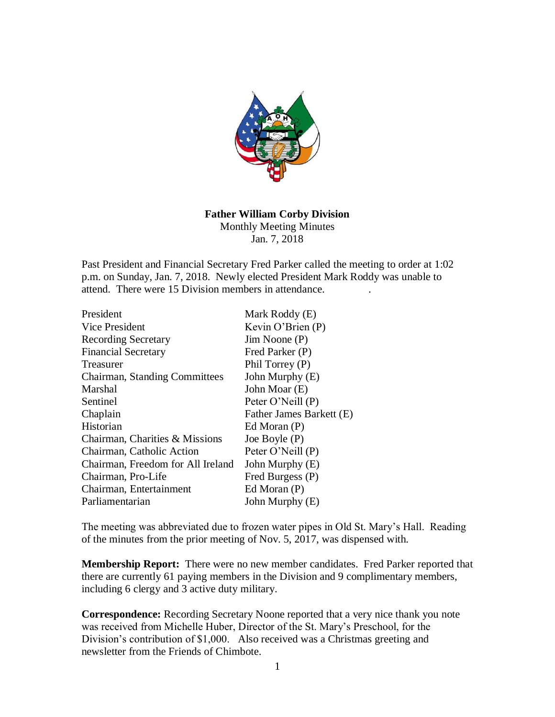

# **Father William Corby Division**

Monthly Meeting Minutes Jan. 7, 2018

Past President and Financial Secretary Fred Parker called the meeting to order at 1:02 p.m. on Sunday, Jan. 7, 2018. Newly elected President Mark Roddy was unable to attend. There were 15 Division members in attendance. .

| President                         | Mark Roddy (E)           |
|-----------------------------------|--------------------------|
| Vice President                    | Kevin O'Brien $(P)$      |
| <b>Recording Secretary</b>        | $Jim$ Noone $(P)$        |
| <b>Financial Secretary</b>        | Fred Parker (P)          |
| Treasurer                         | Phil Torrey (P)          |
| Chairman, Standing Committees     | John Murphy (E)          |
| Marshal                           | John Moar (E)            |
| Sentinel                          | Peter O'Neill (P)        |
| Chaplain                          | Father James Barkett (E) |
| Historian                         | Ed Moran (P)             |
| Chairman, Charities & Missions    | Joe Boyle (P)            |
| Chairman, Catholic Action         | Peter O'Neill (P)        |
| Chairman, Freedom for All Ireland | John Murphy (E)          |
| Chairman, Pro-Life                | Fred Burgess (P)         |
| Chairman, Entertainment           | Ed Moran $(P)$           |
| Parliamentarian                   | John Murphy (E)          |

The meeting was abbreviated due to frozen water pipes in Old St. Mary's Hall. Reading of the minutes from the prior meeting of Nov. 5, 2017, was dispensed with.

**Membership Report:** There were no new member candidates. Fred Parker reported that there are currently 61 paying members in the Division and 9 complimentary members, including 6 clergy and 3 active duty military.

**Correspondence:** Recording Secretary Noone reported that a very nice thank you note was received from Michelle Huber, Director of the St. Mary's Preschool, for the Division's contribution of \$1,000. Also received was a Christmas greeting and newsletter from the Friends of Chimbote.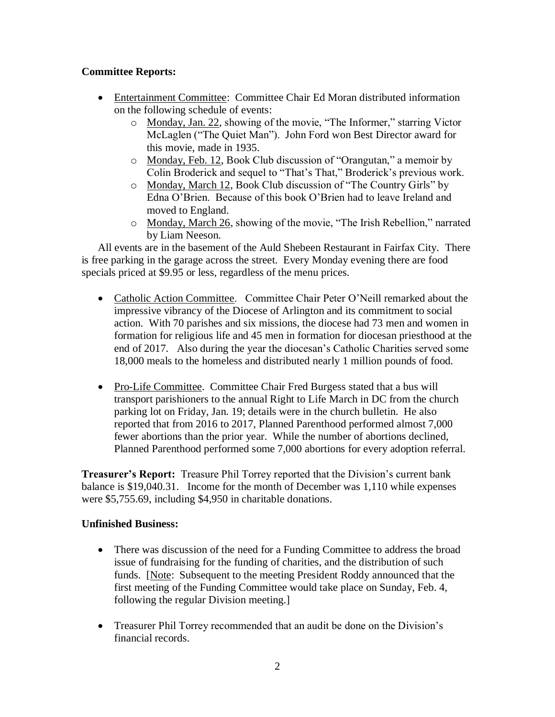## **Committee Reports:**

- Entertainment Committee: Committee Chair Ed Moran distributed information on the following schedule of events:
	- o Monday, Jan. 22, showing of the movie, "The Informer," starring Victor McLaglen ("The Quiet Man"). John Ford won Best Director award for this movie, made in 1935.
	- o Monday, Feb. 12, Book Club discussion of "Orangutan," a memoir by Colin Broderick and sequel to "That's That," Broderick's previous work.
	- o Monday, March 12, Book Club discussion of "The Country Girls" by Edna O'Brien. Because of this book O'Brien had to leave Ireland and moved to England.
	- o Monday, March 26, showing of the movie, "The Irish Rebellion," narrated by Liam Neeson.

All events are in the basement of the Auld Shebeen Restaurant in Fairfax City. There is free parking in the garage across the street. Every Monday evening there are food specials priced at \$9.95 or less, regardless of the menu prices.

- Catholic Action Committee. Committee Chair Peter O'Neill remarked about the impressive vibrancy of the Diocese of Arlington and its commitment to social action. With 70 parishes and six missions, the diocese had 73 men and women in formation for religious life and 45 men in formation for diocesan priesthood at the end of 2017. Also during the year the diocesan's Catholic Charities served some 18,000 meals to the homeless and distributed nearly 1 million pounds of food.
- Pro-Life Committee. Committee Chair Fred Burgess stated that a bus will transport parishioners to the annual Right to Life March in DC from the church parking lot on Friday, Jan. 19; details were in the church bulletin. He also reported that from 2016 to 2017, Planned Parenthood performed almost 7,000 fewer abortions than the prior year. While the number of abortions declined, Planned Parenthood performed some 7,000 abortions for every adoption referral.

**Treasurer's Report:** Treasure Phil Torrey reported that the Division's current bank balance is \$19,040.31. Income for the month of December was 1,110 while expenses were \$5,755.69, including \$4,950 in charitable donations.

## **Unfinished Business:**

- There was discussion of the need for a Funding Committee to address the broad issue of fundraising for the funding of charities, and the distribution of such funds. [Note: Subsequent to the meeting President Roddy announced that the first meeting of the Funding Committee would take place on Sunday, Feb. 4, following the regular Division meeting.]
- Treasurer Phil Torrey recommended that an audit be done on the Division's financial records.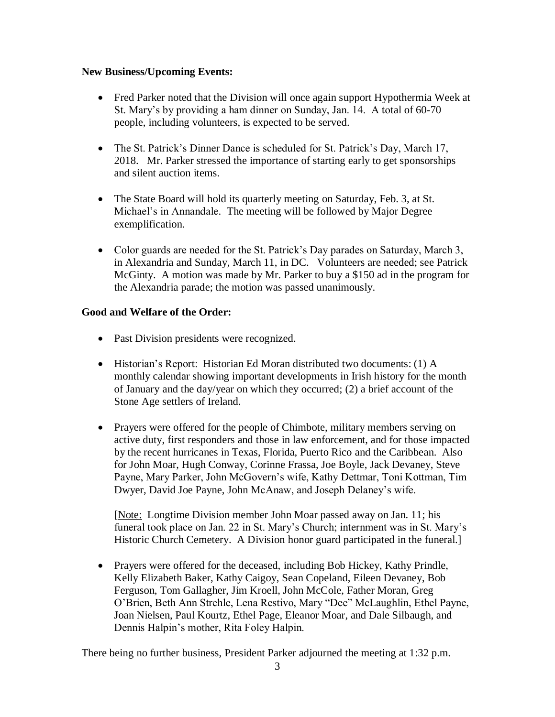### **New Business/Upcoming Events:**

- Fred Parker noted that the Division will once again support Hypothermia Week at St. Mary's by providing a ham dinner on Sunday, Jan. 14. A total of 60-70 people, including volunteers, is expected to be served.
- The St. Patrick's Dinner Dance is scheduled for St. Patrick's Day, March 17, 2018. Mr. Parker stressed the importance of starting early to get sponsorships and silent auction items.
- The State Board will hold its quarterly meeting on Saturday, Feb. 3, at St. Michael's in Annandale. The meeting will be followed by Major Degree exemplification.
- Color guards are needed for the St. Patrick's Day parades on Saturday, March 3, in Alexandria and Sunday, March 11, in DC. Volunteers are needed; see Patrick McGinty. A motion was made by Mr. Parker to buy a \$150 ad in the program for the Alexandria parade; the motion was passed unanimously.

### **Good and Welfare of the Order:**

- Past Division presidents were recognized.
- Historian's Report: Historian Ed Moran distributed two documents: (1) A monthly calendar showing important developments in Irish history for the month of January and the day/year on which they occurred; (2) a brief account of the Stone Age settlers of Ireland.
- Prayers were offered for the people of Chimbote, military members serving on active duty, first responders and those in law enforcement, and for those impacted by the recent hurricanes in Texas, Florida, Puerto Rico and the Caribbean. Also for John Moar, Hugh Conway, Corinne Frassa, Joe Boyle, Jack Devaney, Steve Payne, Mary Parker, John McGovern's wife, Kathy Dettmar, Toni Kottman, Tim Dwyer, David Joe Payne, John McAnaw, and Joseph Delaney's wife.

[Note: Longtime Division member John Moar passed away on Jan. 11; his funeral took place on Jan. 22 in St. Mary's Church; internment was in St. Mary's Historic Church Cemetery. A Division honor guard participated in the funeral.]

• Prayers were offered for the deceased, including Bob Hickey, Kathy Prindle, Kelly Elizabeth Baker, Kathy Caigoy, Sean Copeland, Eileen Devaney, Bob Ferguson, Tom Gallagher, Jim Kroell, John McCole, Father Moran, Greg O'Brien, Beth Ann Strehle, Lena Restivo, Mary "Dee" McLaughlin, Ethel Payne, Joan Nielsen, Paul Kourtz, Ethel Page, Eleanor Moar, and Dale Silbaugh, and Dennis Halpin's mother, Rita Foley Halpin.

There being no further business, President Parker adjourned the meeting at 1:32 p.m.